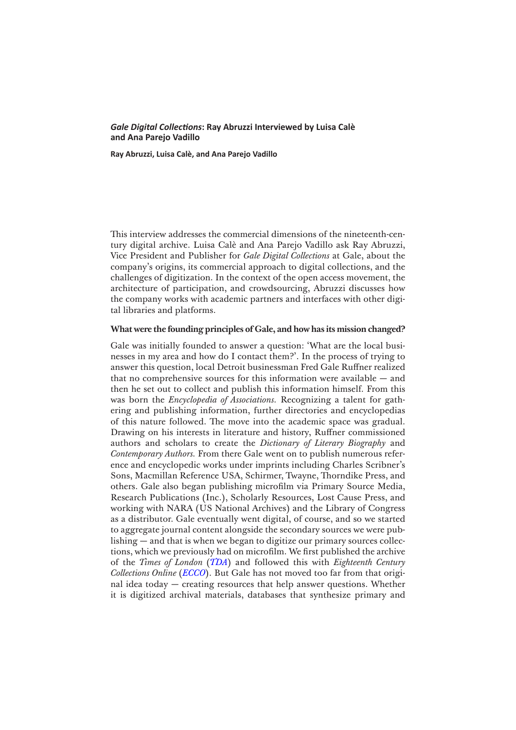### *Gale Digital Collections***: Ray Abruzzi Interviewed by Luisa Calè and Ana Parejo Vadillo**

**Ray Abruzzi, Luisa Calè, and Ana Parejo Vadillo**

This interview addresses the commercial dimensions of the nineteenth-century digital archive. Luisa Calè and Ana Parejo Vadillo ask Ray Abruzzi, Vice President and Publisher for *Gale Digital Collections* at Gale, about the company's origins, its commercial approach to digital collections, and the challenges of digitization. In the context of the open access movement, the architecture of participation, and crowdsourcing, Abruzzi discusses how the company works with academic partners and interfaces with other digital libraries and platforms.

## **What were the founding principles of Gale, and how has its mission changed?**

Gale was initially founded to answer a question: 'What are the local businesses in my area and how do I contact them?'. In the process of trying to answer this question, local Detroit businessman Fred Gale Ruffner realized that no comprehensive sources for this information were available — and then he set out to collect and publish this information himself. From this was born the *Encyclopedia of Associations.* Recognizing a talent for gathering and publishing information, further directories and encyclopedias of this nature followed. The move into the academic space was gradual. Drawing on his interests in literature and history, Ruffner commissioned authors and scholars to create the *Dictionary of Literary Biography* and *Contemporary Authors.* From there Gale went on to publish numerous reference and encyclopedic works under imprints including Charles Scribner's Sons, Macmillan Reference USA, Schirmer, Twayne, Thorndike Press, and others. Gale also began publishing microfilm via Primary Source Media, Research Publications (Inc.), Scholarly Resources, Lost Cause Press, and working with NARA (US National Archives) and the Library of Congress as a distributor. Gale eventually went digital, of course, and so we started to aggregate journal content alongside the secondary sources we were publishing — and that is when we began to digitize our primary sources collections, which we previously had on microfilm. We first published the archive of the *Times of London* (*[TDA](http://gale.cengage.co.uk/times.aspx/)*) and followed this with *Eighteenth Century Collections Online* (*[ECCO](http://gale.cengage.co.uk/product-highlights/history/eighteenth-century-collections-online.aspx)*). But Gale has not moved too far from that original idea today — creating resources that help answer questions. Whether it is digitized archival materials, databases that synthesize primary and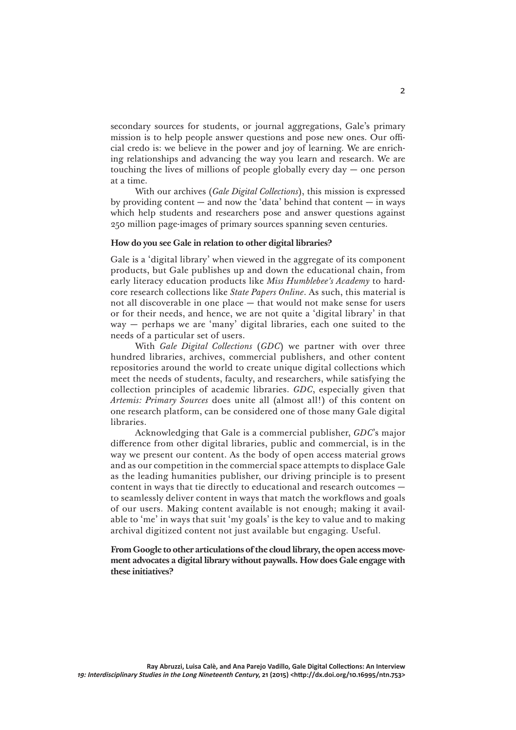secondary sources for students, or journal aggregations, Gale's primary mission is to help people answer questions and pose new ones. Our official credo is: we believe in the power and joy of learning. We are enriching relationships and advancing the way you learn and research. We are touching the lives of millions of people globally every day — one person at a time.

With our archives (*Gale Digital Collections*), this mission is expressed by providing content  $-$  and now the 'data' behind that content  $-$  in ways which help students and researchers pose and answer questions against 250 million page-images of primary sources spanning seven centuries.

#### **How do you see Gale in relation to other digital libraries?**

Gale is a 'digital library' when viewed in the aggregate of its component products, but Gale publishes up and down the educational chain, from early literacy education products like *Miss Humblebee's Academy* to hardcore research collections like *State Papers Online*. As such, this material is not all discoverable in one place — that would not make sense for users or for their needs, and hence, we are not quite a 'digital library' in that way — perhaps we are 'many' digital libraries, each one suited to the needs of a particular set of users.

With *Gale Digital Collections* (*GDC*) we partner with over three hundred libraries, archives, commercial publishers, and other content repositories around the world to create unique digital collections which meet the needs of students, faculty, and researchers, while satisfying the collection principles of academic libraries. *GDC*, especially given that *Artemis: Primary Sources* does unite all (almost all!) of this content on one research platform, can be considered one of those many Gale digital libraries.

Acknowledging that Gale is a commercial publisher, *GDC*'s major difference from other digital libraries, public and commercial, is in the way we present our content. As the body of open access material grows and as our competition in the commercial space attempts to displace Gale as the leading humanities publisher, our driving principle is to present content in ways that tie directly to educational and research outcomes to seamlessly deliver content in ways that match the workflows and goals of our users. Making content available is not enough; making it available to 'me' in ways that suit 'my goals' is the key to value and to making archival digitized content not just available but engaging. Useful.

**From Google to other articulations of the cloud library, the open access movement advocates a digital library without paywalls. How does Gale engage with these initiatives?**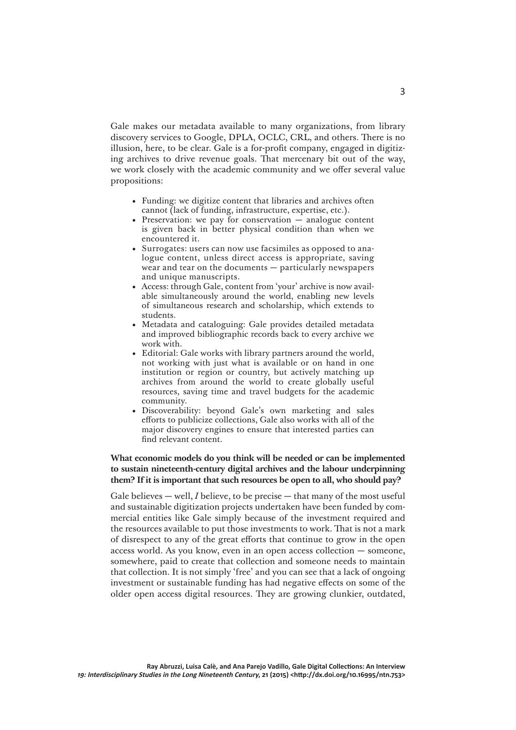Gale makes our metadata available to many organizations, from library discovery services to Google, DPLA, OCLC, CRL, and others. There is no illusion, here, to be clear. Gale is a for-profit company, engaged in digitizing archives to drive revenue goals. That mercenary bit out of the way, we work closely with the academic community and we offer several value propositions:

- Funding: we digitize content that libraries and archives often cannot (lack of funding, infrastructure, expertise, etc.).
- Preservation: we pay for conservation analogue content is given back in better physical condition than when we encountered it.
- Surrogates: users can now use facsimiles as opposed to analogue content, unless direct access is appropriate, saving wear and tear on the documents — particularly newspapers and unique manuscripts.
- Access: through Gale, content from 'your' archive is now available simultaneously around the world, enabling new levels of simultaneous research and scholarship, which extends to students.
- Metadata and cataloguing: Gale provides detailed metadata and improved bibliographic records back to every archive we work with.
- Editorial: Gale works with library partners around the world, not working with just what is available or on hand in one institution or region or country, but actively matching up archives from around the world to create globally useful resources, saving time and travel budgets for the academic community.
- Discoverability: beyond Gale's own marketing and sales efforts to publicize collections, Gale also works with all of the major discovery engines to ensure that interested parties can find relevant content.

# **What economic models do you think will be needed or can be implemented to sustain nineteenth-century digital archives and the labour underpinning them? If it is important that such resources be open to all, who should pay?**

Gale believes — well, *I* believe, to be precise — that many of the most useful and sustainable digitization projects undertaken have been funded by commercial entities like Gale simply because of the investment required and the resources available to put those investments to work. That is not a mark of disrespect to any of the great efforts that continue to grow in the open access world. As you know, even in an open access collection — someone, somewhere, paid to create that collection and someone needs to maintain that collection. It is not simply 'free' and you can see that a lack of ongoing investment or sustainable funding has had negative effects on some of the older open access digital resources. They are growing clunkier, outdated,

3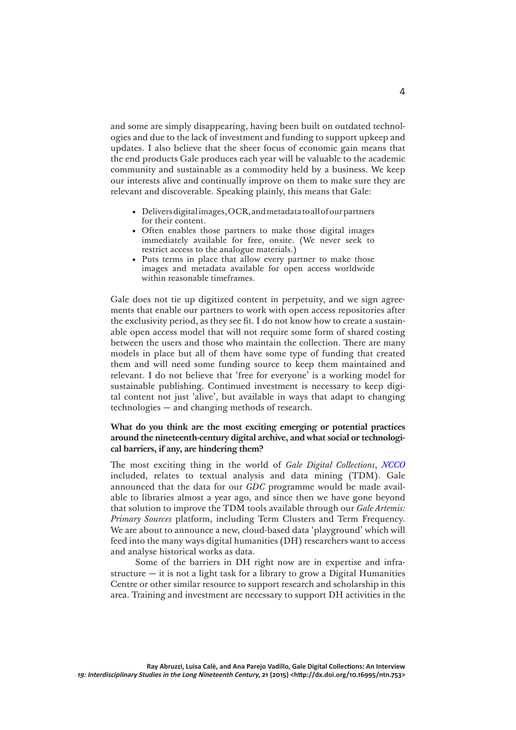and some are simply disappearing, having been built on outdated technologies and due to the lack of investment and funding to support upkeep and updates. I also believe that the sheer focus of economic gain means that the end products Gale produces each year will be valuable to the academic community and sustainable as a commodity held by a business. We keep our interests alive and continually improve on them to make sure they are relevant and discoverable. Speaking plainly, this means that Gale:

- Delivers digital images, OCR, and metadata to all of our partners for their content.
- Often enables those partners to make those digital images immediately available for free, onsite. (We never seek to restrict access to the analogue materials.)
- Puts terms in place that allow every partner to make those images and metadata available for open access worldwide within reasonable timeframes.

Gale does not tie up digitized content in perpetuity, and we sign agreements that enable our partners to work with open access repositories after the exclusivity period, as they see fit. I do not know how to create a sustainable open access model that will not require some form of shared costing between the users and those who maintain the collection. There are many models in place but all of them have some type of funding that created them and will need some funding source to keep them maintained and relevant. I do not believe that 'free for everyone' is a working model for sustainable publishing. Continued investment is necessary to keep digital content not just 'alive', but available in ways that adapt to changing technologies — and changing methods of research.

# **What do you think are the most exciting emerging or potential practices around the nineteenth-century digital archive, and what social or technological barriers, if any, are hindering them?**

The most exciting thing in the world of *Gale Digital Collections*, *[NCCO](http://gale.cengage.co.uk/product-highlights/history/nineteenth-century-collections-online.aspx)* included, relates to textual analysis and data mining (TDM). Gale announced that the data for our *GDC* programme would be made available to libraries almost a year ago, and since then we have gone beyond that solution to improve the TDM tools available through our *Gale Artemis: Primary Sources* platform, including Term Clusters and Term Frequency. We are about to announce a new, cloud-based data 'playground' which will feed into the many ways digital humanities (DH) researchers want to access and analyse historical works as data.

Some of the barriers in DH right now are in expertise and infrastructure  $-$  it is not a light task for a library to grow a Digital Humanities Centre or other similar resource to support research and scholarship in this area. Training and investment are necessary to support DH activities in the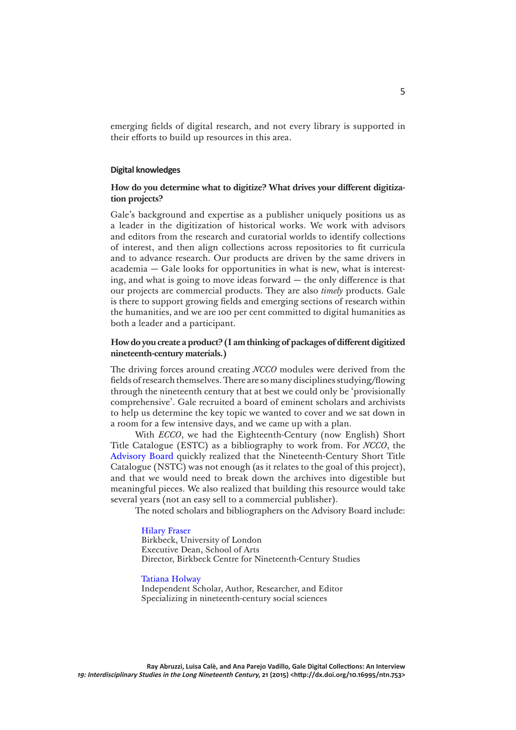emerging fields of digital research, and not every library is supported in their efforts to build up resources in this area.

#### **Digital knowledges**

# **How do you determine what to digitize? What drives your different digitization projects?**

Gale's background and expertise as a publisher uniquely positions us as a leader in the digitization of historical works. We work with advisors and editors from the research and curatorial worlds to identify collections of interest, and then align collections across repositories to fit curricula and to advance research. Our products are driven by the same drivers in academia — Gale looks for opportunities in what is new, what is interesting, and what is going to move ideas forward — the only difference is that our projects are commercial products. They are also *timely* products. Gale is there to support growing fields and emerging sections of research within the humanities, and we are 100 per cent committed to digital humanities as both a leader and a participant.

# **How do you create a product? (I am thinking of packages of different digitized nineteenth-century materials.)**

The driving forces around creating *NCCO* modules were derived from the fields of research themselves. There are so many disciplines studying/flowing through the nineteenth century that at best we could only be 'provisionally comprehensive'. Gale recruited a board of eminent scholars and archivists to help us determine the key topic we wanted to cover and we sat down in a room for a few intensive days, and we came up with a plan.

With *ECCO*, we had the Eighteenth-Century (now English) Short Title Catalogue (ESTC) as a bibliography to work from. For *NCCO*, the [Advisory Board](http://gale.cengage.co.uk/product-highlights/history/nineteenth-century-collections-online/ncco-advisory-board.aspx) quickly realized that the Nineteenth-Century Short Title Catalogue (NSTC) was not enough (as it relates to the goal of this project), and that we would need to break down the archives into digestible but meaningful pieces. We also realized that building this resource would take several years (not an easy sell to a commercial publisher).

The noted scholars and bibliographers on the Advisory Board include:

[Hilary Fraser](http://www.bbk.ac.uk/english/our-staff/full-time-academic-staff/fraser) Birkbeck, University of London Executive Dean, School of Arts Director, Birkbeck Centre for Nineteenth-Century Studies

[Tatiana Holway](http://www.pbs.org/wgbh/masterpiece/littledorrit/scholar.html)

Independent Scholar, Author, Researcher, and Editor Specializing in nineteenth-century social sciences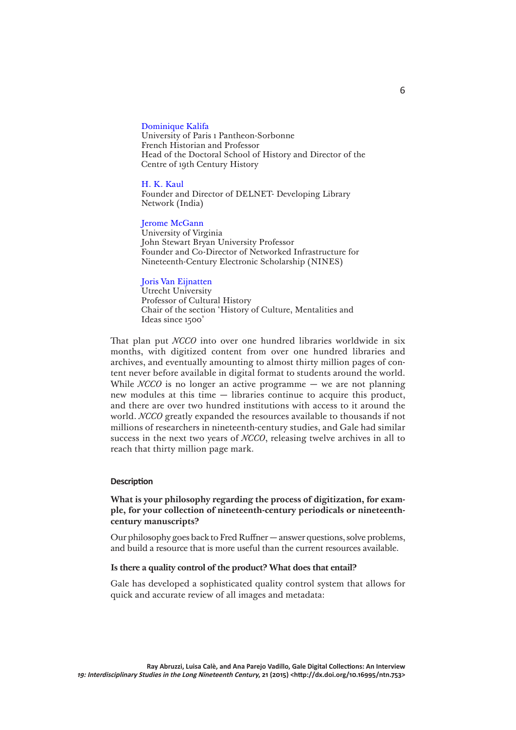#### [Dominique Kalifa](https://www.univ-paris1.fr/unites-de-recherche/crhxix/membres/kalifa-dominique/)

University of Paris 1 Pantheon-Sorbonne French Historian and Professor Head of the Doctoral School of History and Director of the Centre of 19th Century History

#### [H. K. Kaul](http://delnet.nic.in/dr-kaul-biography.htm)

Founder and Director of DELNET- Developing Library Network (India)

#### [Jerome McGann](http://www2.iath.virginia.edu/jjm2f/vita.html)

University of Virginia John Stewart Bryan University Professor Founder and Co-Director of Networked Infrastructure for Nineteenth-Century Electronic Scholarship (NINES)

### [Joris Van Eijnatten](http://www.uu.nl/staff/JvanEijnatten/0)

Utrecht University Professor of Cultural History Chair of the section 'History of Culture, Mentalities and Ideas since 1500'

That plan put *NCCO* into over one hundred libraries worldwide in six months, with digitized content from over one hundred libraries and archives, and eventually amounting to almost thirty million pages of content never before available in digital format to students around the world. While *NCCO* is no longer an active programme — we are not planning new modules at this time — libraries continue to acquire this product, and there are over two hundred institutions with access to it around the world. *NCCO* greatly expanded the resources available to thousands if not millions of researchers in nineteenth-century studies, and Gale had similar success in the next two years of *NCCO*, releasing twelve archives in all to reach that thirty million page mark.

#### **Description**

## **What is your philosophy regarding the process of digitization, for example, for your collection of nineteenth-century periodicals or nineteenthcentury manuscripts?**

Our philosophy goes back to Fred Ruffner — answer questions, solve problems, and build a resource that is more useful than the current resources available.

### **Is there a quality control of the product? What does that entail?**

Gale has developed a sophisticated quality control system that allows for quick and accurate review of all images and metadata: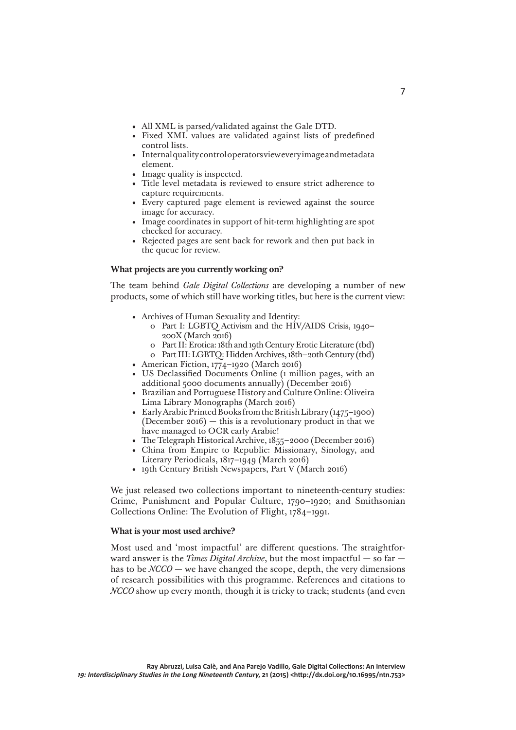- All XML is parsed/validated against the Gale DTD.
- Fixed XML values are validated against lists of predefined control lists.
- Internal quality control operators view every image and metadata element.
- Image quality is inspected.
- Title level metadata is reviewed to ensure strict adherence to capture requirements.
- Every captured page element is reviewed against the source image for accuracy.
- Image coordinates in support of hit-term highlighting are spot checked for accuracy.
- Rejected pages are sent back for rework and then put back in the queue for review.

### **What projects are you currently working on?**

The team behind *Gale Digital Collections* are developing a number of new products, some of which still have working titles, but here is the current view:

- Archives of Human Sexuality and Identity:
	- о Part I: LGBTQ Activism and the HIV/AIDS Crisis, 1940– 200X (March 2016)
	- о Part II: Erotica: 18th and 19th Century Erotic Literature (tbd)
	- о Part III: LGBTQ: Hidden Archives, 18th–20th Century (tbd)
- American Fiction, 1774–1920 (March 2016)
- US Declassified Documents Online (1 million pages, with an additional 5000 documents annually) (December 2016)
- Brazilian and Portuguese History and Culture Online: Oliveira Lima Library Monographs (March 2016)
- Early Arabic Printed Books from the British Library (1475–1900)  $(December 2016) - this is a revolutionary product in that we$ have managed to OCR early Arabic!
- The Telegraph Historical Archive, 1855-2000 (December 2016)
- China from Empire to Republic: Missionary, Sinology, and Literary Periodicals, 1817–1949 (March 2016)
- 19th Century British Newspapers, Part V (March 2016)

We just released two collections important to nineteenth-century studies: Crime, Punishment and Popular Culture, 1790–1920; and Smithsonian Collections Online: The Evolution of Flight, 1784–1991.

### **What is your most used archive?**

Most used and 'most impactful' are different questions. The straightforward answer is the *Times Digital Archive*, but the most impactful — so far has to be  $NCCO$  — we have changed the scope, depth, the very dimensions of research possibilities with this programme. References and citations to *NCCO* show up every month, though it is tricky to track; students (and even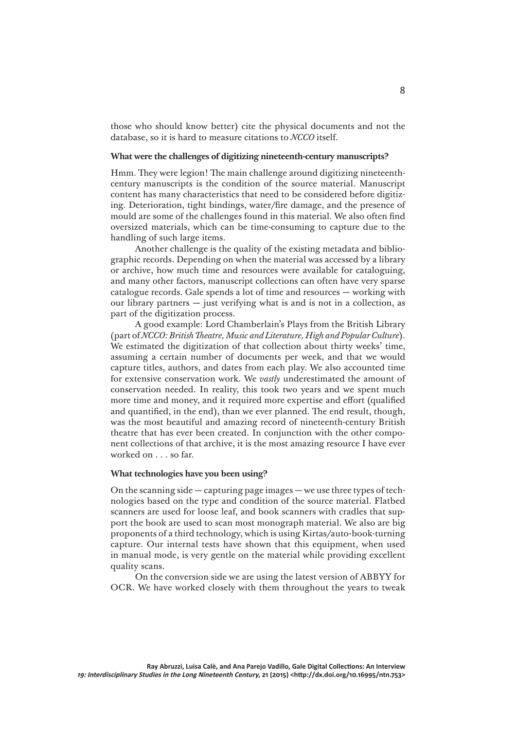those who should know better) cite the physical documents and not the database, so it is hard to measure citations to *NCCO* itself.

# **What were the challenges of digitizing nineteenth-century manuscripts?**

Hmm. They were legion! The main challenge around digitizing nineteenthcentury manuscripts is the condition of the source material. Manuscript content has many characteristics that need to be considered before digitizing. Deterioration, tight bindings, water/fire damage, and the presence of mould are some of the challenges found in this material. We also often find oversized materials, which can be time-consuming to capture due to the handling of such large items.

Another challenge is the quality of the existing metadata and bibliographic records. Depending on when the material was accessed by a library or archive, how much time and resources were available for cataloguing, and many other factors, manuscript collections can often have very sparse catalogue records. Gale spends a lot of time and resources — working with our library partners — just verifying what is and is not in a collection, as part of the digitization process.

A good example: Lord Chamberlain's Plays from the British Library (part of *NCCO: British Theatre, Music and Literature, High and Popular Culture*). We estimated the digitization of that collection about thirty weeks' time, assuming a certain number of documents per week, and that we would capture titles, authors, and dates from each play. We also accounted time for extensive conservation work. We *vastly* underestimated the amount of conservation needed. In reality, this took two years and we spent much more time and money, and it required more expertise and effort (qualified and quantified, in the end), than we ever planned. The end result, though, was the most beautiful and amazing record of nineteenth-century British theatre that has ever been created. In conjunction with the other component collections of that archive, it is the most amazing resource I have ever worked on . . . so far.

### **What technologies have you been using?**

On the scanning side — capturing page images — we use three types of technologies based on the type and condition of the source material. Flatbed scanners are used for loose leaf, and book scanners with cradles that support the book are used to scan most monograph material. We also are big proponents of a third technology, which is using Kirtas/auto-book-turning capture. Our internal tests have shown that this equipment, when used in manual mode, is very gentle on the material while providing excellent quality scans.

On the conversion side we are using the latest version of ABBYY for OCR. We have worked closely with them throughout the years to tweak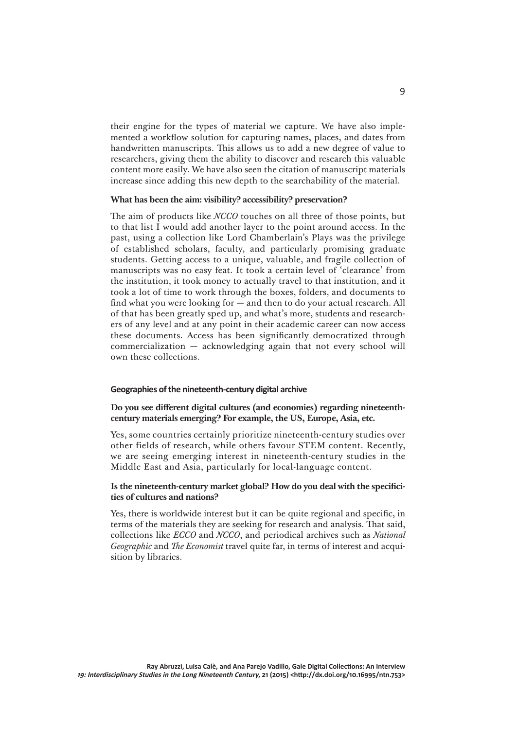their engine for the types of material we capture. We have also implemented a workflow solution for capturing names, places, and dates from handwritten manuscripts. This allows us to add a new degree of value to researchers, giving them the ability to discover and research this valuable content more easily. We have also seen the citation of manuscript materials increase since adding this new depth to the searchability of the material.

#### **What has been the aim: visibility? accessibility? preservation?**

The aim of products like *NCCO* touches on all three of those points, but to that list I would add another layer to the point around access. In the past, using a collection like Lord Chamberlain's Plays was the privilege of established scholars, faculty, and particularly promising graduate students. Getting access to a unique, valuable, and fragile collection of manuscripts was no easy feat. It took a certain level of 'clearance' from the institution, it took money to actually travel to that institution, and it took a lot of time to work through the boxes, folders, and documents to find what you were looking for — and then to do your actual research. All of that has been greatly sped up, and what's more, students and researchers of any level and at any point in their academic career can now access these documents. Access has been significantly democratized through commercialization — acknowledging again that not every school will own these collections.

#### **Geographies of the nineteenth-century digital archive**

**Do you see different digital cultures (and economies) regarding nineteenthcentury materials emerging? For example, the US, Europe, Asia, etc.** 

Yes, some countries certainly prioritize nineteenth-century studies over other fields of research, while others favour STEM content. Recently, we are seeing emerging interest in nineteenth-century studies in the Middle East and Asia, particularly for local-language content.

### **Is the nineteenth-century market global? How do you deal with the specificities of cultures and nations?**

Yes, there is worldwide interest but it can be quite regional and specific, in terms of the materials they are seeking for research and analysis. That said, collections like *ECCO* and *NCCO*, and periodical archives such as *National Geographic* and *The Economist* travel quite far, in terms of interest and acquisition by libraries.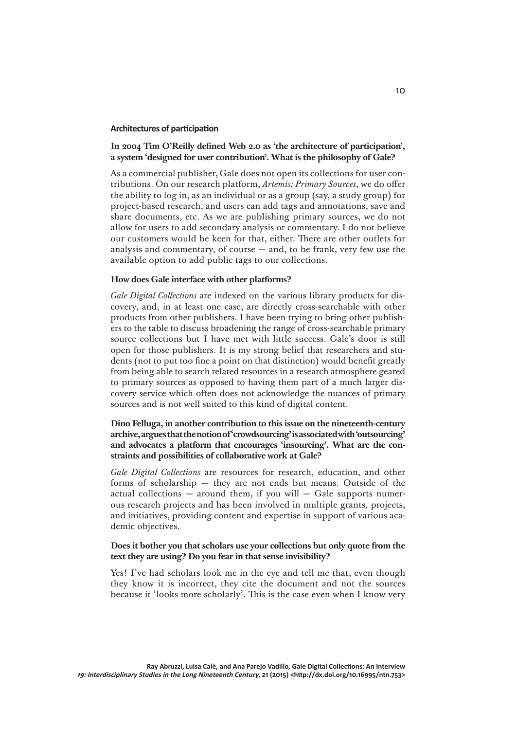#### **Architectures of participation**

## **In 2004 Tim O'Reilly defined Web 2.0 as 'the architecture of participation', a system 'designed for user contribution'. What is the philosophy of Gale?**

As a commercial publisher, Gale does not open its collections for user contributions. On our research platform, *Artemis: Primary Sources*, we do offer the ability to log in, as an individual or as a group (say, a study group) for project-based research, and users can add tags and annotations, save and share documents, etc. As we are publishing primary sources, we do not allow for users to add secondary analysis or commentary. I do not believe our customers would be keen for that, either. There are other outlets for analysis and commentary, of course  $-$  and, to be frank, very few use the available option to add public tags to our collections.

### **How does Gale interface with other platforms?**

*Gale Digital Collections* are indexed on the various library products for discovery, and, in at least one case, are directly cross-searchable with other products from other publishers. I have been trying to bring other publishers to the table to discuss broadening the range of cross-searchable primary source collections but I have met with little success. Gale's door is still open for those publishers. It is my strong belief that researchers and students (not to put too fine a point on that distinction) would benefit greatly from being able to search related resources in a research atmosphere geared to primary sources as opposed to having them part of a much larger discovery service which often does not acknowledge the nuances of primary sources and is not well suited to this kind of digital content.

# **Dino Felluga, in another contribution to this issue on the nineteenth-century archive, argues that the notion of 'crowdsourcing' is associated with 'outsourcing' and advocates a platform that encourages 'insourcing'. What are the constraints and possibilities of collaborative work at Gale?**

*Gale Digital Collections* are resources for research, education, and other forms of scholarship — they are not ends but means. Outside of the actual collections  $-$  around them, if you will  $-$  Gale supports numerous research projects and has been involved in multiple grants, projects, and initiatives, providing content and expertise in support of various academic objectives.

# **Does it bother you that scholars use your collections but only quote from the text they are using? Do you fear in that sense invisibility?**

Yes! I've had scholars look me in the eye and tell me that, even though they know it is incorrect, they cite the document and not the sources because it 'looks more scholarly'. This is the case even when I know very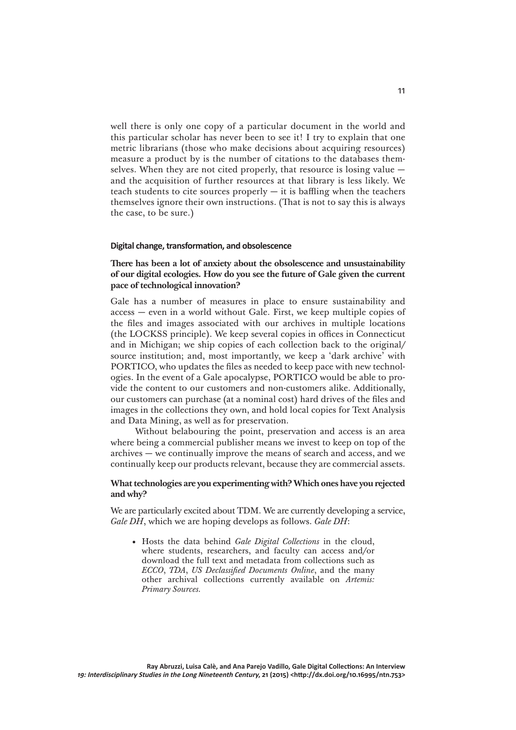well there is only one copy of a particular document in the world and this particular scholar has never been to see it! I try to explain that one metric librarians (those who make decisions about acquiring resources) measure a product by is the number of citations to the databases themselves. When they are not cited properly, that resource is losing value and the acquisition of further resources at that library is less likely. We teach students to cite sources properly — it is baffling when the teachers themselves ignore their own instructions. (That is not to say this is always the case, to be sure.)

### **Digital change, transformation, and obsolescence**

**There has been a lot of anxiety about the obsolescence and unsustainability of our digital ecologies. How do you see the future of Gale given the current pace of technological innovation?** 

Gale has a number of measures in place to ensure sustainability and access — even in a world without Gale. First, we keep multiple copies of the files and images associated with our archives in multiple locations (the LOCKSS principle). We keep several copies in offices in Connecticut and in Michigan; we ship copies of each collection back to the original/ source institution; and, most importantly, we keep a 'dark archive' with PORTICO, who updates the files as needed to keep pace with new technologies. In the event of a Gale apocalypse, PORTICO would be able to provide the content to our customers and non-customers alike. Additionally, our customers can purchase (at a nominal cost) hard drives of the files and images in the collections they own, and hold local copies for Text Analysis and Data Mining, as well as for preservation.

Without belabouring the point, preservation and access is an area where being a commercial publisher means we invest to keep on top of the archives — we continually improve the means of search and access, and we continually keep our products relevant, because they are commercial assets.

## **What technologies are you experimenting with? Which ones have you rejected and why?**

We are particularly excited about TDM. We are currently developing a service, *Gale DH*, which we are hoping develops as follows. *Gale DH*:

• Hosts the data behind *Gale Digital Collections* in the cloud, where students, researchers, and faculty can access and/or download the full text and metadata from collections such as *ECCO*, *TDA*, *US Declassified Documents Online*, and the many other archival collections currently available on *Artemis: Primary Sources.*